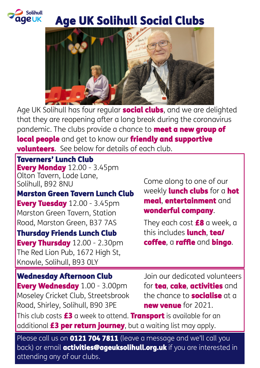

### Age UK Solihull Social Clubs



Age UK Solihull has four regular **social clubs**, and we are delighted that they are reopening after a long break during the coronavirus pandemic. The clubs provide a chance to **meet a new group of** local people and get to know our friendly and supportive **volunteers**. See below for details of each club.

Taverners' Lunch Club **Every Monday** 12.00 - 3.45pm Olton Tavern, Lode Lane, Solihull, B92 8NU

Marston Green Tavern Lunch Club Every Tuesday 12.00 - 3.45pm Marston Green Tavern, Station Road, Marston Green, B37 7AS

#### Thursday Friends Lunch Club

Every Thursday 12.00 - 2.30pm The Red Lion Pub, 1672 High St, Knowle, Solihull, B93 0LY

Come along to one of our weekly **lunch clubs** for a hot meal, entertainment and wonderful company.

They each cost  $£8$  a week, a this includes **lunch, tea/** coffee, a raffle and bingo.

Wednesday Afternoon Club

Every Wednesday 1.00 - 3.00pm Moseley Cricket Club, Streetsbrook Road, Shirley, Solihull, B90 3PE

Join our dedicated volunteers for tea, cake, activities and the chance to **socialise** at a new venue for 2021.

This club costs  $£3$  a week to attend. Transport is available for an additional **£3 per return journey**, but a waiting list may apply.

Please call us on **0121 704 7811** (leave a message and we'll call you back) or email **activities@ageuksolihull.org.uk** if you are interested in attending any of our clubs.